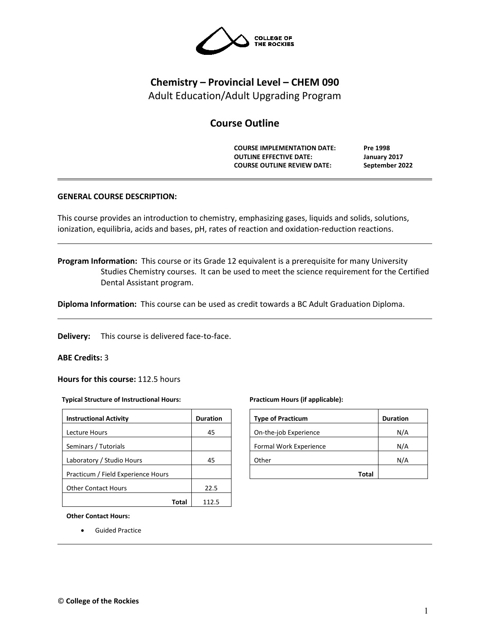

# **Chemistry – Provincial Level – CHEM 090** Adult Education/Adult Upgrading Program

# **Course Outline**

**COURSE IMPLEMENTATION DATE: Pre 1998 OUTLINE EFFECTIVE DATE: January 2017 COURSE OUTLINE REVIEW DATE: September 2022**

# **GENERAL COURSE DESCRIPTION:**

This course provides an introduction to chemistry, emphasizing gases, liquids and solids, solutions, ionization, equilibria, acids and bases, pH, rates of reaction and oxidation-reduction reactions.

**Program Information:** This course or its Grade 12 equivalent is a prerequisite for many University Studies Chemistry courses. It can be used to meet the science requirement for the Certified Dental Assistant program.

**Diploma Information:** This course can be used as credit towards a BC Adult Graduation Diploma.

**Delivery:** This course is delivered face-to-face.

## **ABE Credits:** 3

**Hours for this course:** 112.5 hours

#### **Typical Structure of Instructional Hours:**

| <b>Instructional Activity</b>      | <b>Duration</b> |
|------------------------------------|-----------------|
| Lecture Hours                      | 45              |
| Seminars / Tutorials               |                 |
| Laboratory / Studio Hours          | 45              |
| Practicum / Field Experience Hours |                 |
| <b>Other Contact Hours</b>         | 22.5            |
|                                    |                 |

#### **Practicum Hours (if applicable):**

| <b>Type of Practicum</b> | <b>Duration</b> |
|--------------------------|-----------------|
| On-the-job Experience    | N/A             |
| Formal Work Experience   | N/A             |
| Other                    | N/A             |
| Total                    |                 |

**Other Contact Hours:**

• Guided Practice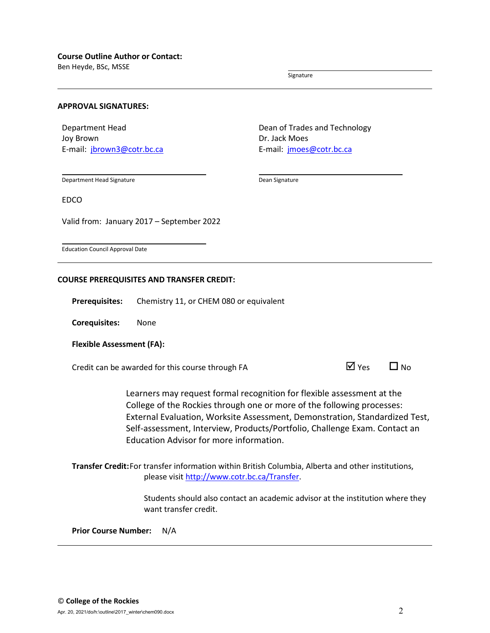Ben Heyde, BSc, MSSE

Signature

#### **APPROVAL SIGNATURES:**

Department Head Joy Brown E-mail: jbrown3@cotr.bc.ca Dean of Trades and Technology Dr. Jack Moes E-mail: *[jmoes@cotr.bc.ca](mailto:jmoes@cotr.bc.ca)* 

Department Head Signature

Dean Signature

EDCO

Valid from: January 2017 – September 2022

Education Council Approval Date

## **COURSE PREREQUISITES AND TRANSFER CREDIT:**

**Prerequisites:** Chemistry 11, or CHEM 080 or equivalent

**Corequisites:** None

## **Flexible Assessment (FA):**

Credit can be awarded for this course through FA  $\Box$  Yes  $\Box$  No

| 7 Yes<br>▁▎▘ | N |
|--------------|---|
|--------------|---|

Learners may request formal recognition for flexible assessment at the College of the Rockies through one or more of the following processes: External Evaluation, Worksite Assessment, Demonstration, Standardized Test, Self-assessment, Interview, Products/Portfolio, Challenge Exam. Contact an Education Advisor for more information.

**Transfer Credit:**For transfer information within British Columbia, Alberta and other institutions, please visit [http://www.cotr.bc.ca/Transfer.](http://www.cotr.bc.ca/Transfer)

> Students should also contact an academic advisor at the institution where they want transfer credit.

**Prior Course Number:** N/A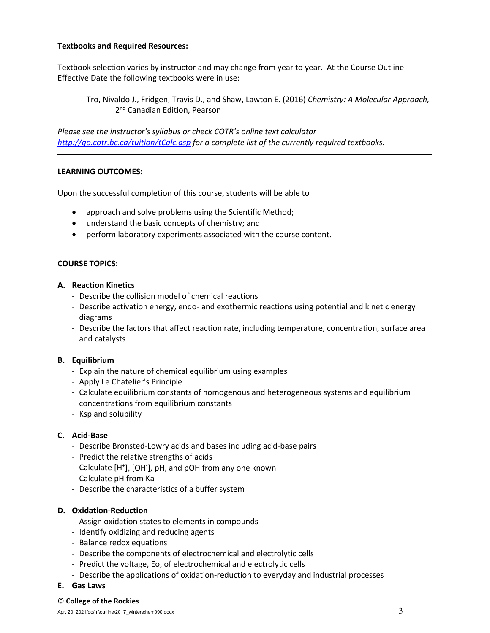## **Textbooks and Required Resources:**

Textbook selection varies by instructor and may change from year to year. At the Course Outline Effective Date the following textbooks were in use:

Tro, Nivaldo J., Fridgen, Travis D., and Shaw, Lawton E. (2016) *Chemistry: A Molecular Approach,*  2<sup>nd</sup> Canadian Edition, Pearson

*Please see the instructor's syllabus or check COTR's online text calculator <http://go.cotr.bc.ca/tuition/tCalc.asp> for a complete list of the currently required textbooks.*

## **LEARNING OUTCOMES:**

Upon the successful completion of this course, students will be able to

- approach and solve problems using the Scientific Method;
- understand the basic concepts of chemistry; and
- perform laboratory experiments associated with the course content.

## **COURSE TOPICS:**

## **A. Reaction Kinetics**

- Describe the collision model of chemical reactions
- Describe activation energy, endo- and exothermic reactions using potential and kinetic energy diagrams
- Describe the factors that affect reaction rate, including temperature, concentration, surface area and catalysts

## **B. Equilibrium**

- Explain the nature of chemical equilibrium using examples
- Apply Le Chatelier's Principle
- Calculate equilibrium constants of homogenous and heterogeneous systems and equilibrium concentrations from equilibrium constants
- Ksp and solubility

# **C. Acid-Base**

- Describe Bronsted-Lowry acids and bases including acid-base pairs
- Predict the relative strengths of acids
- Calculate [H<sup>+</sup>], [OH<sup>-</sup>], pH, and pOH from any one known
- Calculate pH from Ka
- Describe the characteristics of a buffer system

## **D. Oxidation-Reduction**

- Assign oxidation states to elements in compounds
- Identify oxidizing and reducing agents
- Balance redox equations
- Describe the components of electrochemical and electrolytic cells
- Predict the voltage, Eo, of electrochemical and electrolytic cells
- Describe the applications of oxidation-reduction to everyday and industrial processes
- **E. Gas Laws**

#### © **College of the Rockies**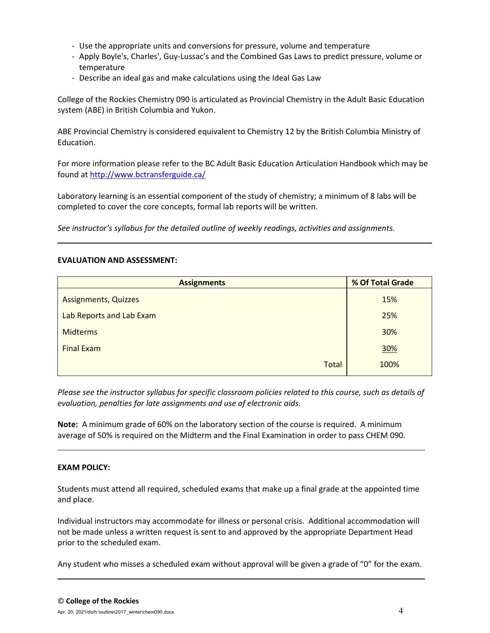- Use the appropriate units and conversions for pressure, volume and temperature
- Apply Boyle's, Charles', Guy-Lussac's and the Combined Gas Laws to predict pressure, volume or temperature
- Describe an ideal gas and make calculations using the Ideal Gas Law

College of the Rockies Chemistry 090 is articulated as Provincial Chemistry in the Adult Basic Education system (ABE) in British Columbia and Yukon.

ABE Provincial Chemistry is considered equivalent to Chemistry 12 by the British Columbia Ministry of Education.

For more information please refer to the BC Adult Basic Education Articulation Handbook which may be found at<http://www.bctransferguide.ca/>

Laboratory learning is an essential component of the study of chemistry; a minimum of 8 labs will be completed to cover the core concepts, formal lab reports will be written.

*See instructor's syllabus for the detailed outline of weekly readings, activities and assignments.* 

## **EVALUATION AND ASSESSMENT:**

| <b>Assignments</b>          | % Of Total Grade |  |  |
|-----------------------------|------------------|--|--|
| <b>Assignments, Quizzes</b> | 15%              |  |  |
| Lab Reports and Lab Exam    | 25%              |  |  |
| <b>Midterms</b>             | 30%              |  |  |
| <b>Final Exam</b>           | 30%              |  |  |
| <b>Total</b>                | 100%             |  |  |

*Please see the instructor syllabus for specific classroom policies related to this course, such as details of evaluation, penalties for late assignments and use of electronic aids.*

**Note:** A minimum grade of 60% on the laboratory section of the course is required. A minimum average of 50% is required on the Midterm and the Final Examination in order to pass CHEM 090.

## **EXAM POLICY:**

Students must attend all required, scheduled exams that make up a final grade at the appointed time and place.

Individual instructors may accommodate for illness or personal crisis. Additional accommodation will not be made unless a written request is sent to and approved by the appropriate Department Head prior to the scheduled exam.

Any student who misses a scheduled exam without approval will be given a grade of "0" for the exam.